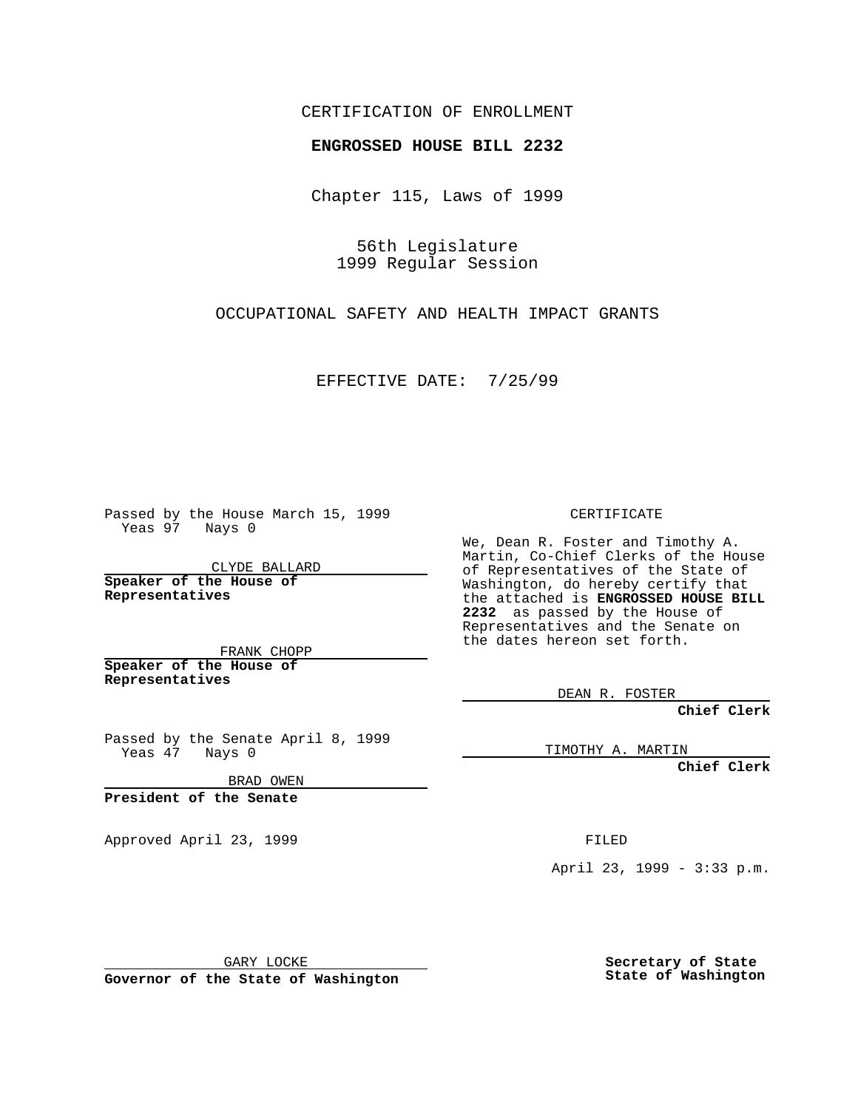## CERTIFICATION OF ENROLLMENT

## **ENGROSSED HOUSE BILL 2232**

Chapter 115, Laws of 1999

56th Legislature 1999 Regular Session

OCCUPATIONAL SAFETY AND HEALTH IMPACT GRANTS

EFFECTIVE DATE: 7/25/99

Passed by the House March 15, 1999 Yeas 97 Nays 0

CLYDE BALLARD **Speaker of the House of Representatives**

FRANK CHOPP **Speaker of the House of Representatives**

Passed by the Senate April 8, 1999 Yeas 47 Nays 0

BRAD OWEN

**President of the Senate**

Approved April 23, 1999 FILED

CERTIFICATE

We, Dean R. Foster and Timothy A. Martin, Co-Chief Clerks of the House of Representatives of the State of Washington, do hereby certify that the attached is **ENGROSSED HOUSE BILL 2232** as passed by the House of Representatives and the Senate on the dates hereon set forth.

DEAN R. FOSTER

**Chief Clerk**

TIMOTHY A. MARTIN

**Chief Clerk**

April 23, 1999 - 3:33 p.m.

GARY LOCKE

**Governor of the State of Washington**

**Secretary of State State of Washington**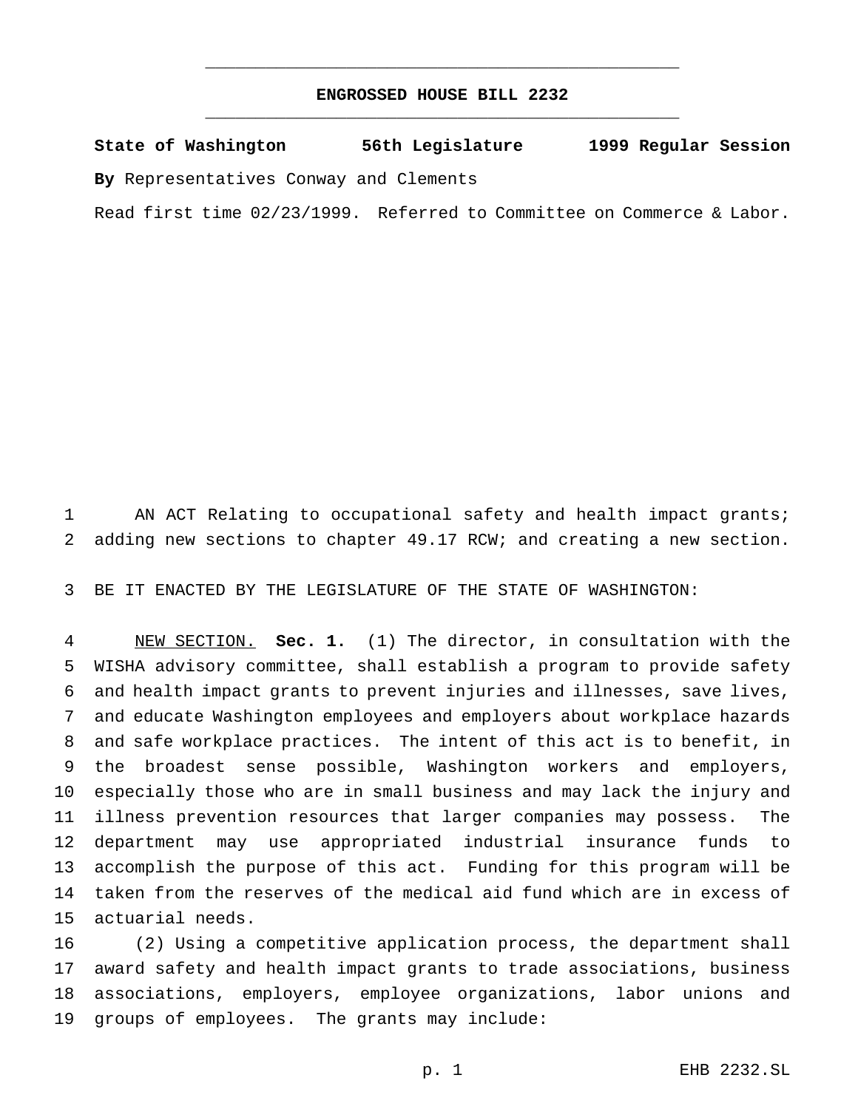## **ENGROSSED HOUSE BILL 2232** \_\_\_\_\_\_\_\_\_\_\_\_\_\_\_\_\_\_\_\_\_\_\_\_\_\_\_\_\_\_\_\_\_\_\_\_\_\_\_\_\_\_\_\_\_\_\_

\_\_\_\_\_\_\_\_\_\_\_\_\_\_\_\_\_\_\_\_\_\_\_\_\_\_\_\_\_\_\_\_\_\_\_\_\_\_\_\_\_\_\_\_\_\_\_

**State of Washington 56th Legislature 1999 Regular Session By** Representatives Conway and Clements

Read first time 02/23/1999. Referred to Committee on Commerce & Labor.

 AN ACT Relating to occupational safety and health impact grants; adding new sections to chapter 49.17 RCW; and creating a new section.

BE IT ENACTED BY THE LEGISLATURE OF THE STATE OF WASHINGTON:

 NEW SECTION. **Sec. 1.** (1) The director, in consultation with the WISHA advisory committee, shall establish a program to provide safety and health impact grants to prevent injuries and illnesses, save lives, and educate Washington employees and employers about workplace hazards and safe workplace practices. The intent of this act is to benefit, in the broadest sense possible, Washington workers and employers, especially those who are in small business and may lack the injury and illness prevention resources that larger companies may possess. The department may use appropriated industrial insurance funds to accomplish the purpose of this act. Funding for this program will be taken from the reserves of the medical aid fund which are in excess of actuarial needs.

 (2) Using a competitive application process, the department shall award safety and health impact grants to trade associations, business associations, employers, employee organizations, labor unions and groups of employees. The grants may include: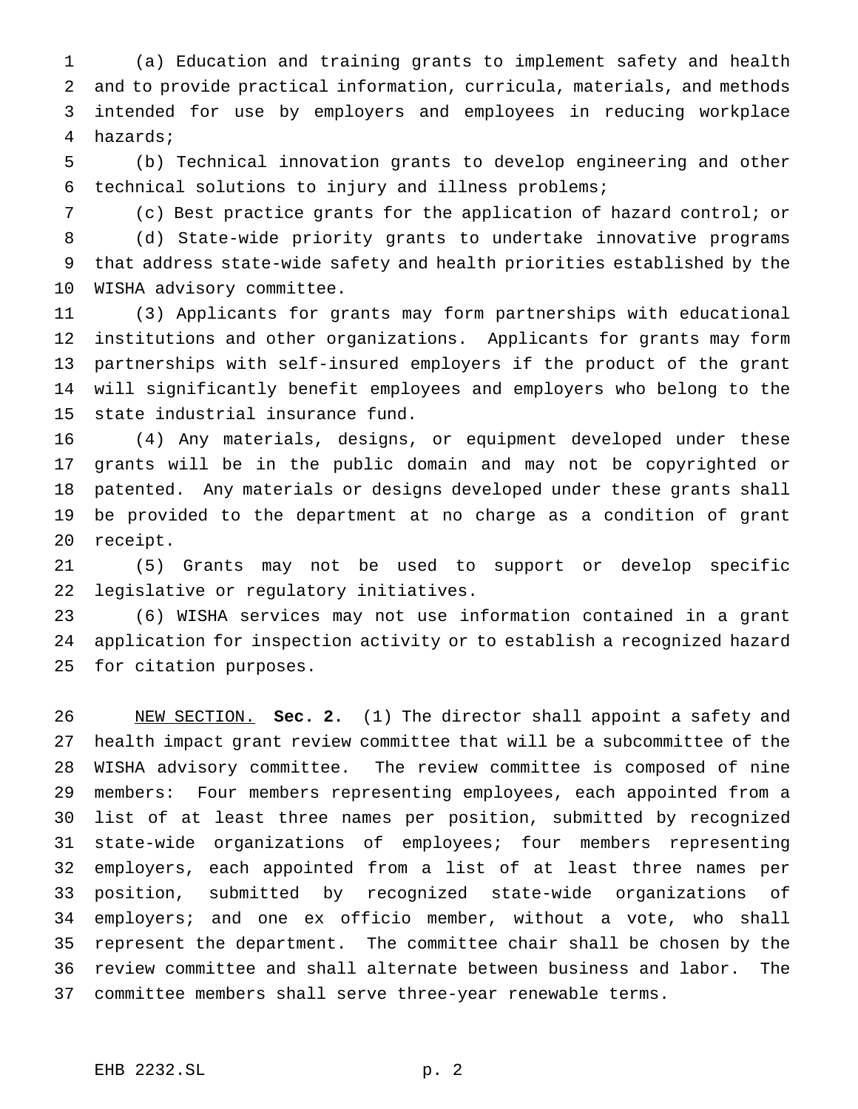(a) Education and training grants to implement safety and health and to provide practical information, curricula, materials, and methods intended for use by employers and employees in reducing workplace hazards;

 (b) Technical innovation grants to develop engineering and other technical solutions to injury and illness problems;

(c) Best practice grants for the application of hazard control; or

 (d) State-wide priority grants to undertake innovative programs that address state-wide safety and health priorities established by the WISHA advisory committee.

 (3) Applicants for grants may form partnerships with educational institutions and other organizations. Applicants for grants may form partnerships with self-insured employers if the product of the grant will significantly benefit employees and employers who belong to the state industrial insurance fund.

 (4) Any materials, designs, or equipment developed under these grants will be in the public domain and may not be copyrighted or patented. Any materials or designs developed under these grants shall be provided to the department at no charge as a condition of grant receipt.

 (5) Grants may not be used to support or develop specific legislative or regulatory initiatives.

 (6) WISHA services may not use information contained in a grant application for inspection activity or to establish a recognized hazard for citation purposes.

 NEW SECTION. **Sec. 2.** (1) The director shall appoint a safety and health impact grant review committee that will be a subcommittee of the WISHA advisory committee. The review committee is composed of nine members: Four members representing employees, each appointed from a list of at least three names per position, submitted by recognized state-wide organizations of employees; four members representing employers, each appointed from a list of at least three names per position, submitted by recognized state-wide organizations of employers; and one ex officio member, without a vote, who shall represent the department. The committee chair shall be chosen by the review committee and shall alternate between business and labor. The committee members shall serve three-year renewable terms.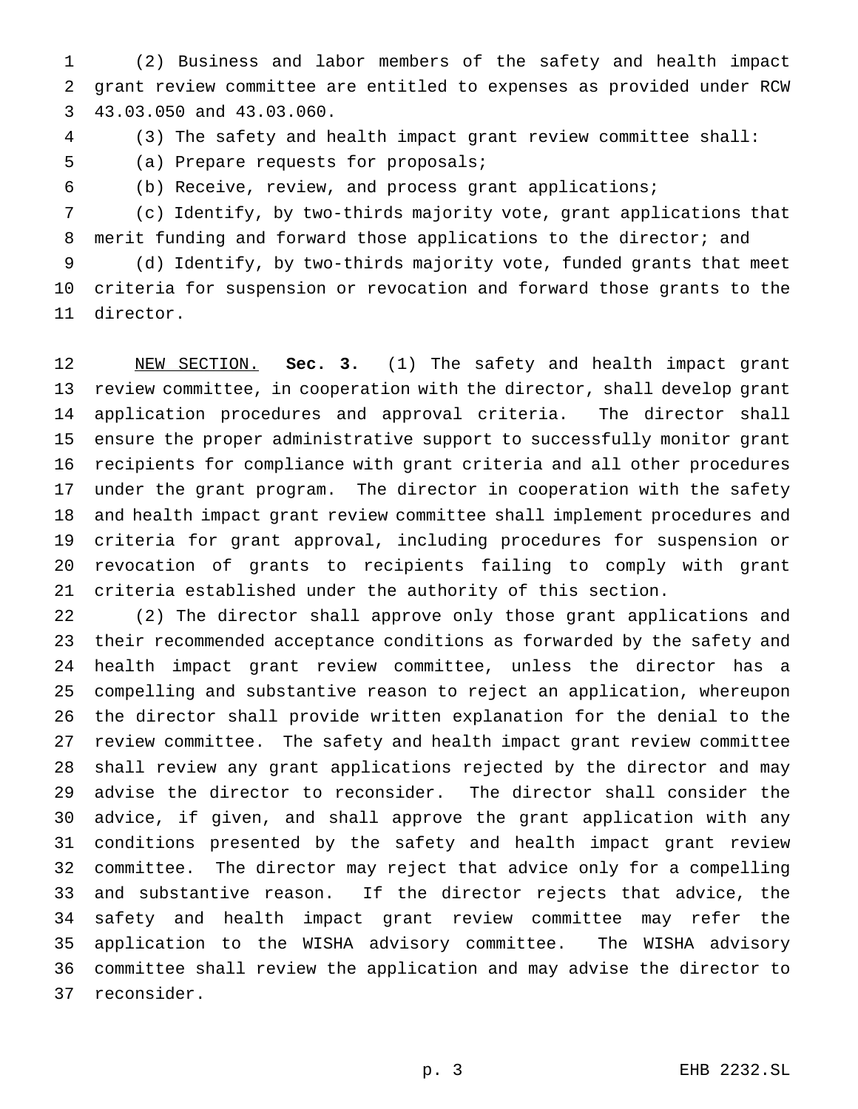(2) Business and labor members of the safety and health impact grant review committee are entitled to expenses as provided under RCW 43.03.050 and 43.03.060.

(3) The safety and health impact grant review committee shall:

(a) Prepare requests for proposals;

(b) Receive, review, and process grant applications;

 (c) Identify, by two-thirds majority vote, grant applications that 8 merit funding and forward those applications to the director; and (d) Identify, by two-thirds majority vote, funded grants that meet

 criteria for suspension or revocation and forward those grants to the director.

 NEW SECTION. **Sec. 3.** (1) The safety and health impact grant review committee, in cooperation with the director, shall develop grant application procedures and approval criteria. The director shall ensure the proper administrative support to successfully monitor grant recipients for compliance with grant criteria and all other procedures under the grant program. The director in cooperation with the safety and health impact grant review committee shall implement procedures and criteria for grant approval, including procedures for suspension or revocation of grants to recipients failing to comply with grant criteria established under the authority of this section.

 (2) The director shall approve only those grant applications and their recommended acceptance conditions as forwarded by the safety and health impact grant review committee, unless the director has a compelling and substantive reason to reject an application, whereupon the director shall provide written explanation for the denial to the review committee. The safety and health impact grant review committee shall review any grant applications rejected by the director and may advise the director to reconsider. The director shall consider the advice, if given, and shall approve the grant application with any conditions presented by the safety and health impact grant review committee. The director may reject that advice only for a compelling and substantive reason. If the director rejects that advice, the safety and health impact grant review committee may refer the application to the WISHA advisory committee. The WISHA advisory committee shall review the application and may advise the director to reconsider.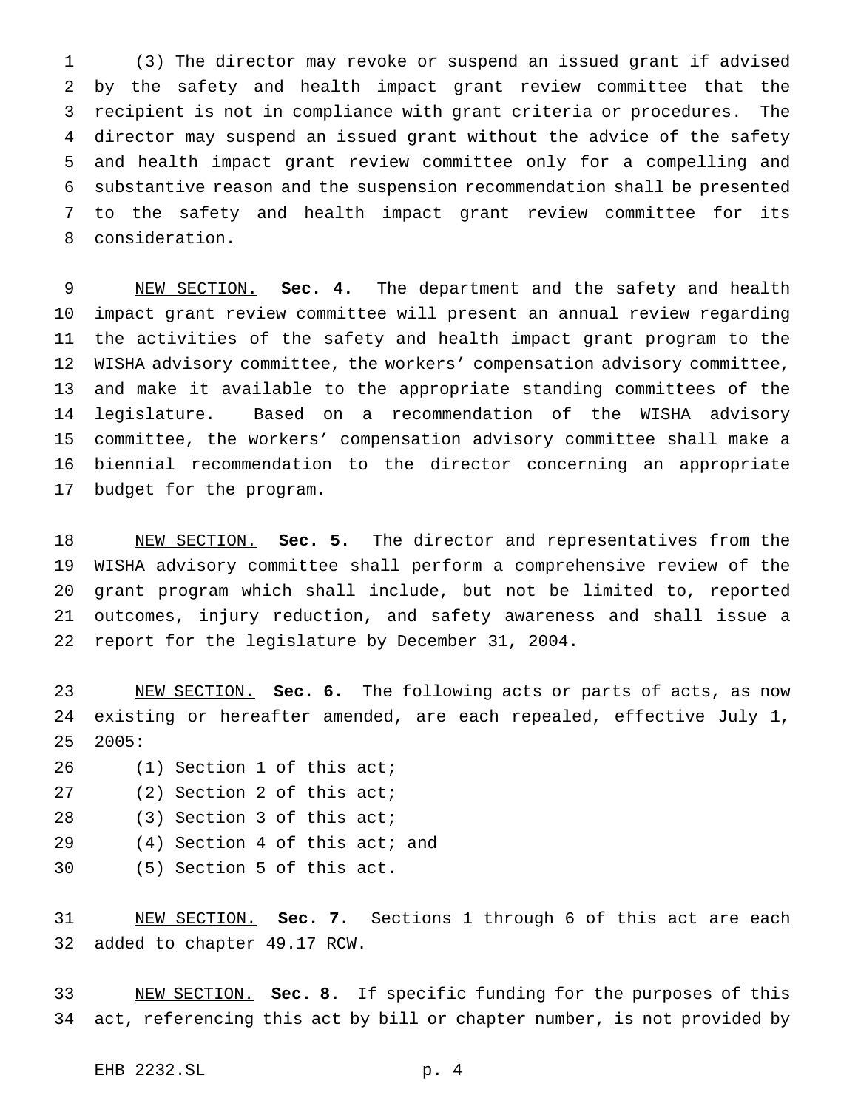(3) The director may revoke or suspend an issued grant if advised by the safety and health impact grant review committee that the recipient is not in compliance with grant criteria or procedures. The director may suspend an issued grant without the advice of the safety and health impact grant review committee only for a compelling and substantive reason and the suspension recommendation shall be presented to the safety and health impact grant review committee for its consideration.

 NEW SECTION. **Sec. 4.** The department and the safety and health impact grant review committee will present an annual review regarding the activities of the safety and health impact grant program to the WISHA advisory committee, the workers' compensation advisory committee, and make it available to the appropriate standing committees of the legislature. Based on a recommendation of the WISHA advisory committee, the workers' compensation advisory committee shall make a biennial recommendation to the director concerning an appropriate budget for the program.

 NEW SECTION. **Sec. 5.** The director and representatives from the WISHA advisory committee shall perform a comprehensive review of the grant program which shall include, but not be limited to, reported outcomes, injury reduction, and safety awareness and shall issue a report for the legislature by December 31, 2004.

 NEW SECTION. **Sec. 6.** The following acts or parts of acts, as now existing or hereafter amended, are each repealed, effective July 1, 2005:

- (1) Section 1 of this act;
- (2) Section 2 of this act;
- (3) Section 3 of this act;
- (4) Section 4 of this act; and
- (5) Section 5 of this act.

 NEW SECTION. **Sec. 7.** Sections 1 through 6 of this act are each added to chapter 49.17 RCW.

 NEW SECTION. **Sec. 8.** If specific funding for the purposes of this act, referencing this act by bill or chapter number, is not provided by